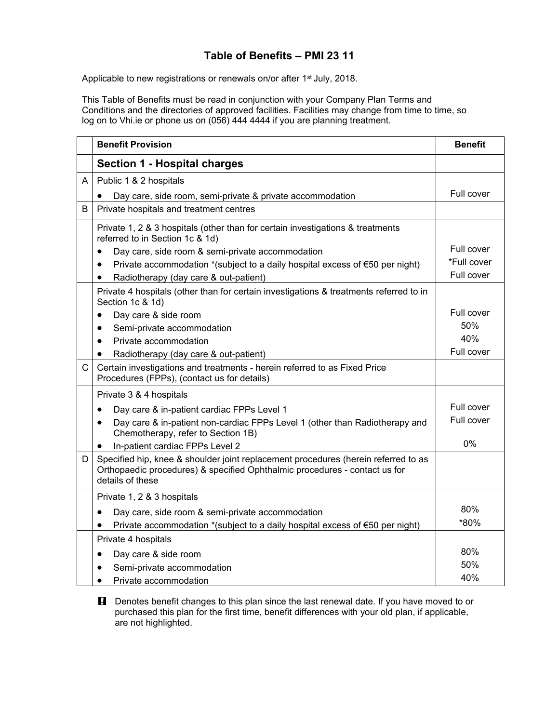## **Table of Benefits – PMI 23 11**

Applicable to new registrations or renewals on/or after 1<sup>st</sup> July, 2018.

This Table of Benefits must be read in conjunction with your Company Plan Terms and Conditions and the directories of approved facilities. Facilities may change from time to time, so log on to Vhi.ie or phone us on (056) 444 4444 if you are planning treatment.

|              | <b>Benefit Provision</b>                                                                                                                                                             | <b>Benefit</b> |
|--------------|--------------------------------------------------------------------------------------------------------------------------------------------------------------------------------------|----------------|
|              | <b>Section 1 - Hospital charges</b>                                                                                                                                                  |                |
| A            | Public 1 & 2 hospitals                                                                                                                                                               |                |
|              | Day care, side room, semi-private & private accommodation                                                                                                                            | Full cover     |
| B            | Private hospitals and treatment centres                                                                                                                                              |                |
|              | Private 1, 2 & 3 hospitals (other than for certain investigations & treatments<br>referred to in Section 1c & 1d)<br>Day care, side room & semi-private accommodation                | Full cover     |
|              | Private accommodation *(subject to a daily hospital excess of $\epsilon$ 50 per night)<br>$\bullet$                                                                                  | *Full cover    |
|              | Radiotherapy (day care & out-patient)<br>$\bullet$                                                                                                                                   | Full cover     |
|              | Private 4 hospitals (other than for certain investigations & treatments referred to in<br>Section 1c & 1d)                                                                           |                |
|              | Day care & side room<br>$\bullet$                                                                                                                                                    | Full cover     |
|              | Semi-private accommodation<br>$\bullet$                                                                                                                                              | 50%            |
|              | Private accommodation<br>$\bullet$                                                                                                                                                   | 40%            |
|              | Radiotherapy (day care & out-patient)<br>$\bullet$                                                                                                                                   | Full cover     |
| $\mathsf{C}$ | Certain investigations and treatments - herein referred to as Fixed Price<br>Procedures (FPPs), (contact us for details)                                                             |                |
|              | Private 3 & 4 hospitals                                                                                                                                                              |                |
|              | Day care & in-patient cardiac FPPs Level 1<br>$\bullet$                                                                                                                              | Full cover     |
|              | Day care & in-patient non-cardiac FPPs Level 1 (other than Radiotherapy and<br>$\bullet$<br>Chemotherapy, refer to Section 1B)                                                       | Full cover     |
|              | In-patient cardiac FPPs Level 2<br>$\bullet$                                                                                                                                         | 0%             |
| D            | Specified hip, knee & shoulder joint replacement procedures (herein referred to as<br>Orthopaedic procedures) & specified Ophthalmic procedures - contact us for<br>details of these |                |
|              | Private 1, 2 & 3 hospitals                                                                                                                                                           |                |
|              | Day care, side room & semi-private accommodation<br>$\bullet$                                                                                                                        | 80%            |
|              | Private accommodation *(subject to a daily hospital excess of €50 per night)<br>$\bullet$                                                                                            | *80%           |
|              | Private 4 hospitals                                                                                                                                                                  |                |
|              | Day care & side room<br>$\bullet$                                                                                                                                                    | 80%            |
|              | Semi-private accommodation                                                                                                                                                           | 50%            |
|              | Private accommodation<br>$\bullet$                                                                                                                                                   | 40%            |

**H** Denotes benefit changes to this plan since the last renewal date. If you have moved to or purchased this plan for the first time, benefit differences with your old plan, if applicable, are not highlighted.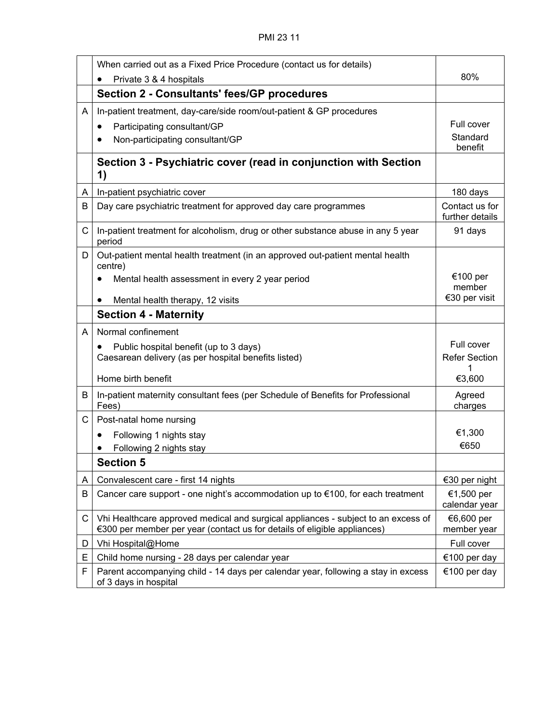|   | When carried out as a Fixed Price Procedure (contact us for details)                                                                                          |                                    |
|---|---------------------------------------------------------------------------------------------------------------------------------------------------------------|------------------------------------|
|   | Private 3 & 4 hospitals                                                                                                                                       | 80%                                |
|   | <b>Section 2 - Consultants' fees/GP procedures</b>                                                                                                            |                                    |
| A | In-patient treatment, day-care/side room/out-patient & GP procedures                                                                                          |                                    |
|   | Participating consultant/GP<br>$\bullet$                                                                                                                      | Full cover                         |
|   | Non-participating consultant/GP<br>$\bullet$                                                                                                                  | Standard<br>benefit                |
|   | Section 3 - Psychiatric cover (read in conjunction with Section<br>1)                                                                                         |                                    |
| A | In-patient psychiatric cover                                                                                                                                  | 180 days                           |
| B | Day care psychiatric treatment for approved day care programmes                                                                                               | Contact us for<br>further details  |
| C | In-patient treatment for alcoholism, drug or other substance abuse in any 5 year<br>period                                                                    | 91 days                            |
| D | Out-patient mental health treatment (in an approved out-patient mental health<br>centre)                                                                      |                                    |
|   | Mental health assessment in every 2 year period                                                                                                               | €100 per                           |
|   | Mental health therapy, 12 visits<br>٠                                                                                                                         | member<br>€30 per visit            |
|   | <b>Section 4 - Maternity</b>                                                                                                                                  |                                    |
| A | Normal confinement                                                                                                                                            |                                    |
|   | Public hospital benefit (up to 3 days)<br>Caesarean delivery (as per hospital benefits listed)                                                                | Full cover<br><b>Refer Section</b> |
|   |                                                                                                                                                               |                                    |
|   | Home birth benefit                                                                                                                                            | €3,600                             |
| B | In-patient maternity consultant fees (per Schedule of Benefits for Professional<br>Fees)                                                                      | Agreed<br>charges                  |
| C | Post-natal home nursing                                                                                                                                       |                                    |
|   | Following 1 nights stay                                                                                                                                       | €1,300                             |
|   | Following 2 nights stay                                                                                                                                       | €650                               |
|   | <b>Section 5</b>                                                                                                                                              |                                    |
| A | Convalescent care - first 14 nights                                                                                                                           | €30 per night                      |
| B | Cancer care support - one night's accommodation up to $\epsilon$ 100, for each treatment                                                                      | €1,500 per<br>calendar year        |
| C | Vhi Healthcare approved medical and surgical appliances - subject to an excess of<br>€300 per member per year (contact us for details of eligible appliances) | €6,600 per<br>member year          |
| D | Vhi Hospital@Home                                                                                                                                             | Full cover                         |
| Е | Child home nursing - 28 days per calendar year                                                                                                                | €100 per day                       |
| F | Parent accompanying child - 14 days per calendar year, following a stay in excess<br>of 3 days in hospital                                                    | €100 per day                       |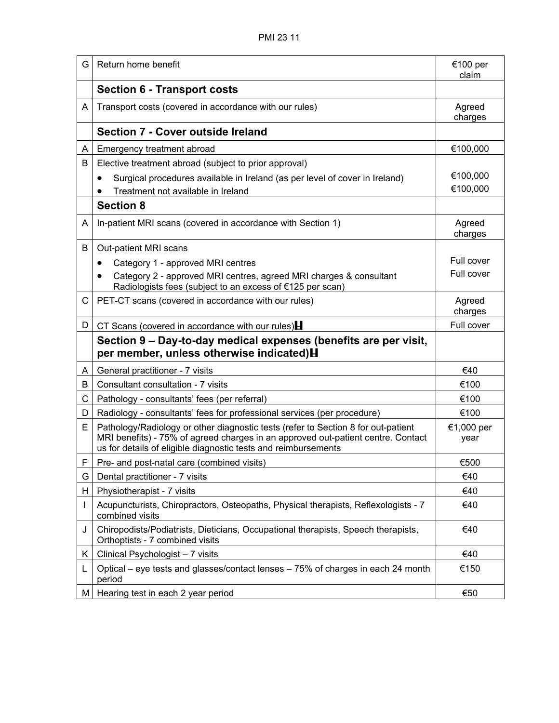| G  | Return home benefit                                                                                                                                                                                                                     | €100 per<br>claim  |
|----|-----------------------------------------------------------------------------------------------------------------------------------------------------------------------------------------------------------------------------------------|--------------------|
|    | <b>Section 6 - Transport costs</b>                                                                                                                                                                                                      |                    |
| A  | Transport costs (covered in accordance with our rules)                                                                                                                                                                                  | Agreed<br>charges  |
|    | Section 7 - Cover outside Ireland                                                                                                                                                                                                       |                    |
| A  | Emergency treatment abroad                                                                                                                                                                                                              | €100,000           |
| B  | Elective treatment abroad (subject to prior approval)                                                                                                                                                                                   |                    |
|    | Surgical procedures available in Ireland (as per level of cover in Ireland)<br>$\bullet$                                                                                                                                                | €100,000           |
|    | Treatment not available in Ireland                                                                                                                                                                                                      | €100,000           |
|    | <b>Section 8</b>                                                                                                                                                                                                                        |                    |
| A  | In-patient MRI scans (covered in accordance with Section 1)                                                                                                                                                                             | Agreed<br>charges  |
| B  | Out-patient MRI scans                                                                                                                                                                                                                   |                    |
|    | Category 1 - approved MRI centres                                                                                                                                                                                                       | Full cover         |
|    | Category 2 - approved MRI centres, agreed MRI charges & consultant<br>٠<br>Radiologists fees (subject to an excess of €125 per scan)                                                                                                    | Full cover         |
| C. | PET-CT scans (covered in accordance with our rules)                                                                                                                                                                                     | Agreed<br>charges  |
| D. | CT Scans (covered in accordance with our rules) $\blacksquare$                                                                                                                                                                          | Full cover         |
|    | Section 9 – Day-to-day medical expenses (benefits are per visit,<br>per member, unless otherwise indicated) H                                                                                                                           |                    |
| A  | General practitioner - 7 visits                                                                                                                                                                                                         | €40                |
| B  | Consultant consultation - 7 visits                                                                                                                                                                                                      | €100               |
| С  | Pathology - consultants' fees (per referral)                                                                                                                                                                                            | €100               |
| D  | Radiology - consultants' fees for professional services (per procedure)                                                                                                                                                                 | €100               |
| E. | Pathology/Radiology or other diagnostic tests (refer to Section 8 for out-patient<br>MRI benefits) - 75% of agreed charges in an approved out-patient centre. Contact<br>us for details of eligible diagnostic tests and reimbursements | €1,000 per<br>year |
| F. | Pre- and post-natal care (combined visits)                                                                                                                                                                                              | €500               |
| G  | Dental practitioner - 7 visits                                                                                                                                                                                                          | €40                |
| H  | Physiotherapist - 7 visits                                                                                                                                                                                                              | €40                |
|    | Acupuncturists, Chiropractors, Osteopaths, Physical therapists, Reflexologists - 7<br>combined visits                                                                                                                                   | €40                |
| J  | Chiropodists/Podiatrists, Dieticians, Occupational therapists, Speech therapists,<br>Orthoptists - 7 combined visits                                                                                                                    | €40                |
| K. | Clinical Psychologist - 7 visits                                                                                                                                                                                                        | €40                |
| L  | Optical – eye tests and glasses/contact lenses – 75% of charges in each 24 month<br>period                                                                                                                                              | €150               |
| M  | Hearing test in each 2 year period                                                                                                                                                                                                      | €50                |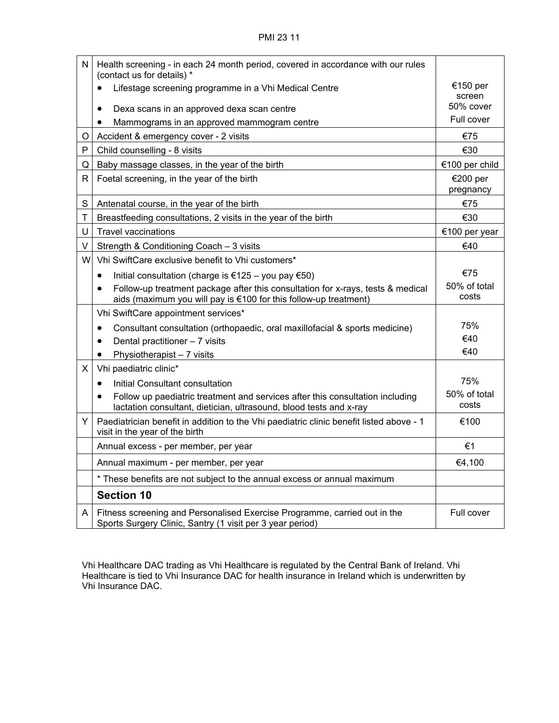| PMI 23 11 |  |  |
|-----------|--|--|
|-----------|--|--|

| Ν           | Health screening - in each 24 month period, covered in accordance with our rules<br>(contact us for details) *                                                   |                       |  |  |
|-------------|------------------------------------------------------------------------------------------------------------------------------------------------------------------|-----------------------|--|--|
|             | Lifestage screening programme in a Vhi Medical Centre                                                                                                            | €150 per              |  |  |
|             |                                                                                                                                                                  | screen<br>50% cover   |  |  |
|             | Dexa scans in an approved dexa scan centre<br>$\bullet$<br>Mammograms in an approved mammogram centre<br>$\bullet$                                               | Full cover            |  |  |
| O           | Accident & emergency cover - 2 visits                                                                                                                            | €75                   |  |  |
| P           | Child counselling - 8 visits                                                                                                                                     | €30                   |  |  |
| Q           | Baby massage classes, in the year of the birth                                                                                                                   | €100 per child        |  |  |
| R           | Foetal screening, in the year of the birth                                                                                                                       |                       |  |  |
|             |                                                                                                                                                                  | €200 per<br>pregnancy |  |  |
| $\mathsf S$ | Antenatal course, in the year of the birth                                                                                                                       | €75                   |  |  |
| T           | Breastfeeding consultations, 2 visits in the year of the birth                                                                                                   | €30                   |  |  |
| U           | <b>Travel vaccinations</b>                                                                                                                                       | €100 per year         |  |  |
| V           | Strength & Conditioning Coach - 3 visits                                                                                                                         | €40                   |  |  |
| W           | Vhi SwiftCare exclusive benefit to Vhi customers*                                                                                                                |                       |  |  |
|             | Initial consultation (charge is €125 - you pay €50)<br>$\bullet$                                                                                                 | €75                   |  |  |
|             | Follow-up treatment package after this consultation for x-rays, tests & medical<br>$\bullet$<br>aids (maximum you will pay is €100 for this follow-up treatment) | 50% of total<br>costs |  |  |
|             | Vhi SwiftCare appointment services*                                                                                                                              |                       |  |  |
|             | Consultant consultation (orthopaedic, oral maxillofacial & sports medicine)<br>$\bullet$                                                                         | 75%                   |  |  |
|             | Dental practitioner - 7 visits<br>$\bullet$                                                                                                                      | €40                   |  |  |
|             | Physiotherapist - 7 visits<br>٠                                                                                                                                  | €40                   |  |  |
| X.          | Vhi paediatric clinic*                                                                                                                                           |                       |  |  |
|             | Initial Consultant consultation<br>$\bullet$                                                                                                                     | 75%                   |  |  |
|             | Follow up paediatric treatment and services after this consultation including<br>$\bullet$<br>lactation consultant, dietician, ultrasound, blood tests and x-ray | 50% of total<br>costs |  |  |
| Y           | Paediatrician benefit in addition to the Vhi paediatric clinic benefit listed above - 1<br>visit in the year of the birth                                        | €100                  |  |  |
|             | Annual excess - per member, per year                                                                                                                             | €1                    |  |  |
|             | Annual maximum - per member, per year                                                                                                                            | €4,100                |  |  |
|             | * These benefits are not subject to the annual excess or annual maximum                                                                                          |                       |  |  |
|             | <b>Section 10</b>                                                                                                                                                |                       |  |  |
| A           | Fitness screening and Personalised Exercise Programme, carried out in the<br>Sports Surgery Clinic, Santry (1 visit per 3 year period)                           | Full cover            |  |  |

Vhi Healthcare DAC trading as Vhi Healthcare is regulated by the Central Bank of Ireland. Vhi Healthcare is tied to Vhi Insurance DAC for health insurance in Ireland which is underwritten by Vhi Insurance DAC.